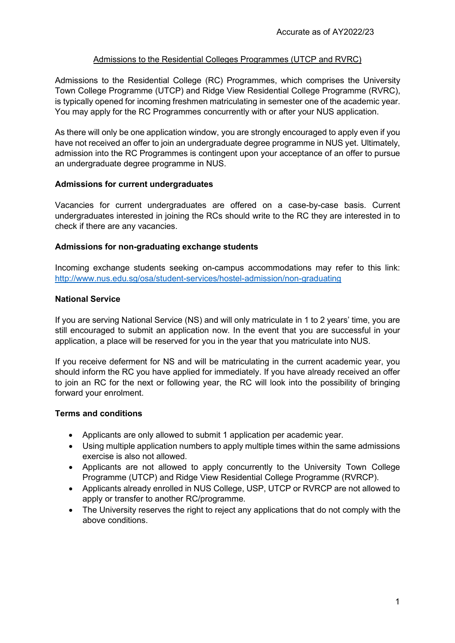### Admissions to the Residential Colleges Programmes (UTCP and RVRC)

Admissions to the Residential College (RC) Programmes, which comprises the University Town College Programme (UTCP) and Ridge View Residential College Programme (RVRC), is typically opened for incoming freshmen matriculating in semester one of the academic year. You may apply for the RC Programmes concurrently with or after your NUS application.

As there will only be one application window, you are strongly encouraged to apply even if you have not received an offer to join an undergraduate degree programme in NUS yet. Ultimately, admission into the RC Programmes is contingent upon your acceptance of an offer to pursue an undergraduate degree programme in NUS.

## **Admissions for current undergraduates**

Vacancies for current undergraduates are offered on a case-by-case basis. Current undergraduates interested in joining the RCs should write to the RC they are interested in to check if there are any vacancies.

## **Admissions for non-graduating exchange students**

Incoming exchange students seeking on-campus accommodations may refer to this link: <http://www.nus.edu.sg/osa/student-services/hostel-admission/non-graduating>

## **National Service**

If you are serving National Service (NS) and will only matriculate in 1 to 2 years' time, you are still encouraged to submit an application now. In the event that you are successful in your application, a place will be reserved for you in the year that you matriculate into NUS.

If you receive deferment for NS and will be matriculating in the current academic year, you should inform the RC you have applied for immediately. If you have already received an offer to join an RC for the next or following year, the RC will look into the possibility of bringing forward your enrolment.

#### **Terms and conditions**

- Applicants are only allowed to submit 1 application per academic year.
- Using multiple application numbers to apply multiple times within the same admissions exercise is also not allowed.
- Applicants are not allowed to apply concurrently to the University Town College Programme (UTCP) and Ridge View Residential College Programme (RVRCP).
- Applicants already enrolled in NUS College, USP, UTCP or RVRCP are not allowed to apply or transfer to another RC/programme.
- The University reserves the right to reject any applications that do not comply with the above conditions.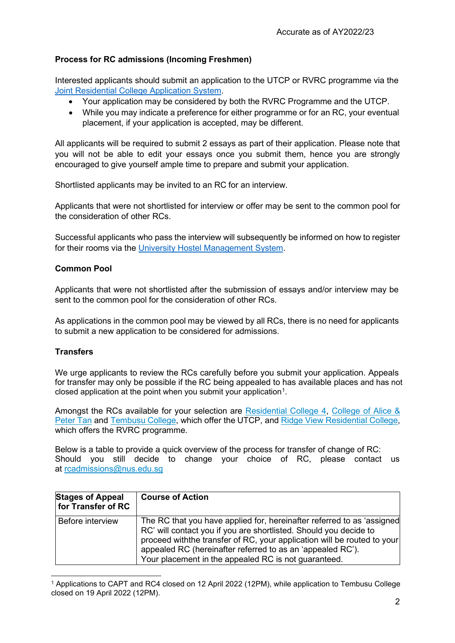# **Process for RC admissions (Incoming Freshmen)**

Interested applicants should submit an application to the UTCP or RVRC programme via the [Joint Residential College](https://myaces.nus.edu.sg/prjrca/) Application System.

- Your application may be considered by both the RVRC Programme and the UTCP.
- While you may indicate a preference for either programme or for an RC, your eventual placement, if your application is accepted, may be different.

All applicants will be required to submit 2 essays as part of their application. Please note that you will not be able to edit your essays once you submit them, hence you are strongly encouraged to give yourself ample time to prepare and submit your application.

Shortlisted applicants may be invited to an RC for an interview.

Applicants that were not shortlisted for interview or offer may be sent to the common pool for the consideration of other RCs.

Successful applicants who pass the interview will subsequently be informed on how to register for their rooms via the University [Hostel Management](http://www.nus.edu.sg/osa/student-services/hostel-admission/undergraduate) System.

#### **Common Pool**

Applicants that were not shortlisted after the submission of essays and/or interview may be sent to the common pool for the consideration of other RCs.

As applications in the common pool may be viewed by all RCs, there is no need for applicants to submit a new application to be considered for admissions.

#### **Transfers**

We urge applicants to review the RCs carefully before you submit your application. Appeals for transfer may only be possible if the RC being appealed to has available places and has not closed application at the point when you submit your application<sup>1</sup>.

Amongst the RCs available for your selection are [Residential College 4,](https://rc4.nus.edu.sg/) [College of Alice &](http://capt.nus.edu.sg/) [Peter](http://capt.nus.edu.sg/) Tan and [Tembusu](https://tembusu.nus.edu.sg/) College, which offer the UTCP, and Ridge View [Residential](https://rvrc.nus.edu.sg/) College, which offers the RVRC programme.

Below is a table to provide a quick overview of the process for transfer of change of RC: Should you still decide to change your choice of RC, please contact us at [rcadmissions@nus.edu.sg](mailto:rcadmissions@nus.edu.sg)

| <b>Stages of Appeal</b><br>for Transfer of RC | <b>Course of Action</b>                                                                                                                                                                                                                                                                                                                       |
|-----------------------------------------------|-----------------------------------------------------------------------------------------------------------------------------------------------------------------------------------------------------------------------------------------------------------------------------------------------------------------------------------------------|
| Before interview                              | The RC that you have applied for, hereinafter referred to as 'assigned<br>RC' will contact you if you are shortlisted. Should you decide to<br>proceed with the transfer of RC, your application will be routed to your<br>appealed RC (hereinafter referred to as an 'appealed RC').<br>Your placement in the appealed RC is not guaranteed. |

<span id="page-1-0"></span><sup>1</sup> Applications to CAPT and RC4 closed on 12 April 2022 (12PM), while application to Tembusu College closed on 19 April 2022 (12PM).